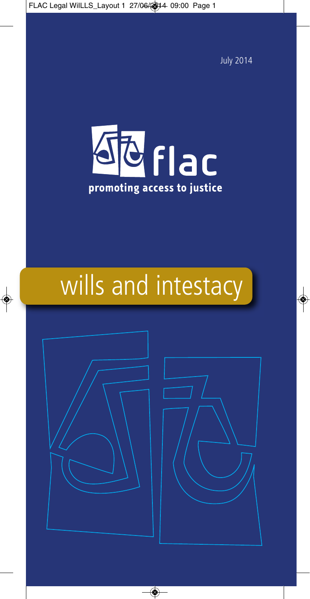July 2014



# wills and intestacy

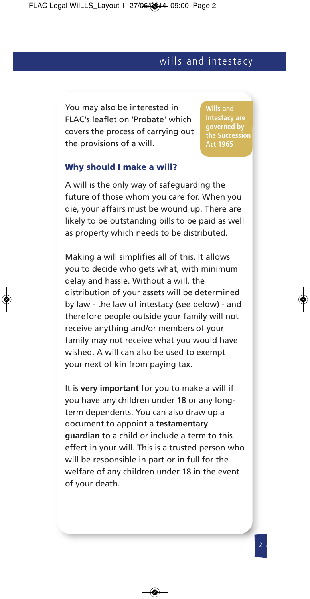You may also be interested in FLAC's leaflet on 'Probate' which covers the process of carrying out the provisions of a will.

**Wills and governed by Act 1965**

#### **Why should I make a will?**

A will is the only way of safeguarding the future of those whom you care for. When you die, your affairs must be wound up. There are likely to be outstanding bills to be paid as well as property which needs to be distributed.

Making a will simplifies all of this. It allows you to decide who gets what, with minimum delay and hassle. Without a will, the distribution of your assets will be determined by law - the law of intestacy (see below) - and therefore people outside your family will not receive anything and/or members of your family may not receive what you would have wished. A will can also be used to exempt your next of kin from paying tax.

It is **very important** for you to make a will if you have any children under 18 or any longterm dependents. You can also draw up a document to appoint a **testamentary guardian** to a child or include a term to this effect in your will. This is a trusted person who will be responsible in part or in full for the welfare of any children under 18 in the event of your death.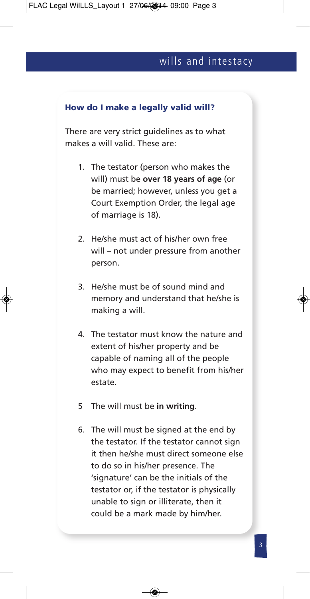#### **How do I make a legally valid will?**

There are very strict guidelines as to what makes a will valid. These are:

- 1. The testator (person who makes the will) must be **over 18 years of age** (or be married; however, unless you get a Court Exemption Order, the legal age of marriage is 18).
- 2. He/she must act of his/her own free will – not under pressure from another person.
- 3. He/she must be of sound mind and memory and understand that he/she is making a will.
- 4. The testator must know the nature and extent of his/her property and be capable of naming all of the people who may expect to benefit from his/her estate.
- 5 The will must be **in writing**.
- 6. The will must be signed at the end by the testator. If the testator cannot sign it then he/she must direct someone else to do so in his/her presence. The 'signature' can be the initials of the testator or, if the testator is physically unable to sign or illiterate, then it could be a mark made by him/her.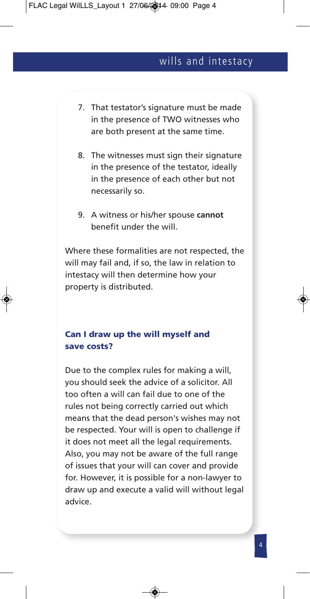- 7. That testator's signature must be made in the presence of TWO witnesses who are both present at the same time.
- 8. The witnesses must sign their signature in the presence of the testator, ideally in the presence of each other but not necessarily so.
- 9. A witness or his/her spouse **cannot** benefit under the will.

Where these formalities are not respected, the will may fail and, if so, the law in relation to intestacy will then determine how your property is distributed.

#### **Can I draw up the will myself and save costs?**

Due to the complex rules for making a will, you should seek the advice of a solicitor. All too often a will can fail due to one of the rules not being correctly carried out which means that the dead person's wishes may not be respected. Your will is open to challenge if it does not meet all the legal requirements. Also, you may not be aware of the full range of issues that your will can cover and provide for. However, it is possible for a non-lawyer to draw up and execute a valid will without legal advice.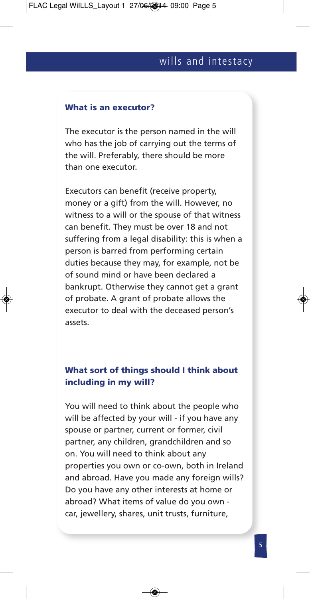#### **What is an executor?**

The executor is the person named in the will who has the job of carrying out the terms of the will. Preferably, there should be more than one executor.

Executors can benefit (receive property, money or a gift) from the will. However, no witness to a will or the spouse of that witness can benefit. They must be over 18 and not suffering from a legal disability: this is when a person is barred from performing certain duties because they may, for example, not be of sound mind or have been declared a bankrupt. Otherwise they cannot get a grant of probate. A grant of probate allows the executor to deal with the deceased person's assets.

#### **What sort of things should I think about including in my will?**

You will need to think about the people who will be affected by your will - if you have any spouse or partner, current or former, civil partner, any children, grandchildren and so on. You will need to think about any properties you own or co-own, both in Ireland and abroad. Have you made any foreign wills? Do you have any other interests at home or abroad? What items of value do you own car, jewellery, shares, unit trusts, furniture,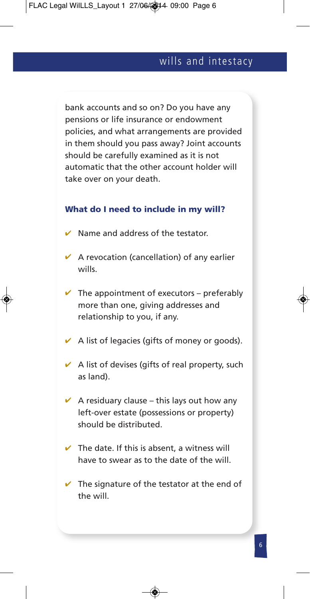bank accounts and so on? Do you have any pensions or life insurance or endowment policies, and what arrangements are provided in them should you pass away? Joint accounts should be carefully examined as it is not automatic that the other account holder will take over on your death.

#### **What do I need to include in my will?**

- $\vee$  Name and address of the testator.
- $\vee$  A revocation (cancellation) of any earlier wills.
- $\vee$  The appointment of executors preferably more than one, giving addresses and relationship to you, if any.
- $\vee$  A list of legacies (gifts of money or goods).
- $\vee$  A list of devises (gifts of real property, such as land).
- $\vee$  A residuary clause this lays out how any left-over estate (possessions or property) should be distributed.
- $\vee$  The date. If this is absent, a witness will have to swear as to the date of the will.
- $\vee$  The signature of the testator at the end of the will.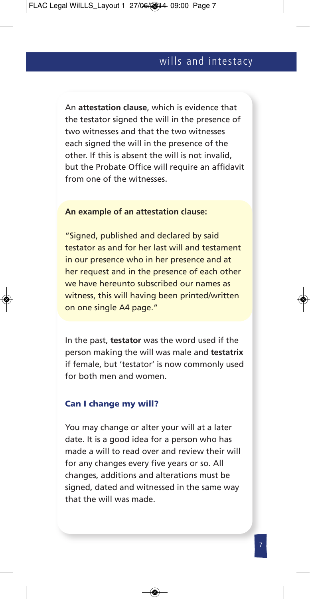An **attestation clause**, which is evidence that the testator signed the will in the presence of two witnesses and that the two witnesses each signed the will in the presence of the other. If this is absent the will is not invalid, but the Probate Office will require an affidavit from one of the witnesses.

#### **An example of an attestation clause:**

"Signed, published and declared by said testator as and for her last will and testament in our presence who in her presence and at her request and in the presence of each other we have hereunto subscribed our names as witness, this will having been printed/written on one single A4 page."

In the past, **testator** was the word used if the person making the will was male and **testatrix** if female, but 'testator' is now commonly used for both men and women.

#### **Can I change my will?**

You may change or alter your will at a later date. It is a good idea for a person who has made a will to read over and review their will for any changes every five years or so. All changes, additions and alterations must be signed, dated and witnessed in the same way that the will was made.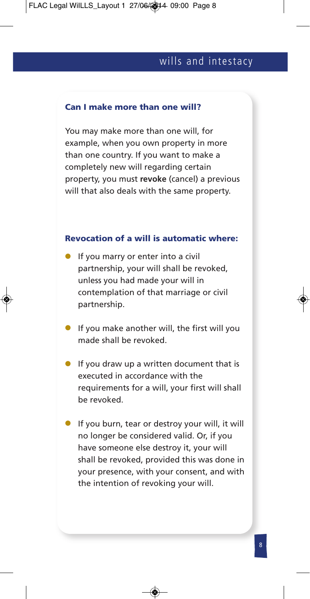#### **Can I make more than one will?**

You may make more than one will, for example, when you own property in more than one country. If you want to make a completely new will regarding certain property, you must **revoke** (cancel) a previous will that also deals with the same property.

#### **Revocation of a will is automatic where:**

- If you marry or enter into a civil partnership, your will shall be revoked, unless you had made your will in contemplation of that marriage or civil partnership.
- If you make another will, the first will you made shall be revoked.
- If you draw up a written document that is executed in accordance with the requirements for a will, your first will shall be revoked.
- If you burn, tear or destroy your will, it will no longer be considered valid. Or, if you have someone else destroy it, your will shall be revoked, provided this was done in your presence, with your consent, and with the intention of revoking your will.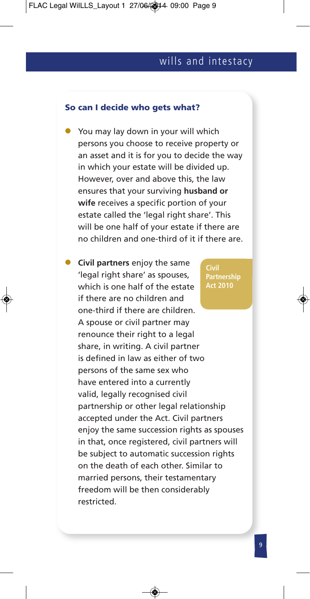#### **So can I decide who gets what?**

- You may lay down in your will which persons you choose to receive property or an asset and it is for you to decide the way in which your estate will be divided up. However, over and above this, the law ensures that your surviving **husband or wife** receives a specific portion of your estate called the 'legal right share'. This will be one half of your estate if there are no children and one-third of it if there are.
- **Civil partners** enjoy the same 'legal right share' as spouses, which is one half of the estate if there are no children and one-third if there are children. A spouse or civil partner may renounce their right to a legal share, in writing. A civil partner is defined in law as either of two persons of the same sex who have entered into a currently valid, legally recognised civil partnership or other legal relationship accepted under the Act. Civil partners enjoy the same succession rights as spouses in that, once registered, civil partners will be subject to automatic succession rights on the death of each other. Similar to married persons, their testamentary freedom will be then considerably restricted. **Civil Partnership Act 2010**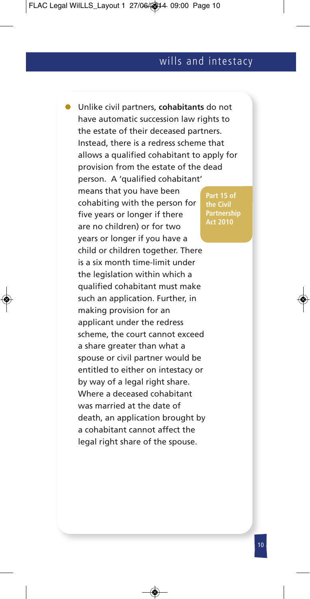l Unlike civil partners, **cohabitants** do not have automatic succession law rights to the estate of their deceased partners. Instead, there is a redress scheme that allows a qualified cohabitant to apply for provision from the estate of the dead person. A 'qualified cohabitant' means that you have been cohabiting with the person for five years or longer if there are no children) or for two years or longer if you have a child or children together. There is a six month time-limit under the legislation within which a qualified cohabitant must make such an application. Further, in making provision for an applicant under the redress scheme, the court cannot exceed a share greater than what a spouse or civil partner would be entitled to either on intestacy or by way of a legal right share. Where a deceased cohabitant was married at the date of death, an application brought by a cohabitant cannot affect the legal right share of the spouse. **Part 15 of Act 2010**

**Partnership**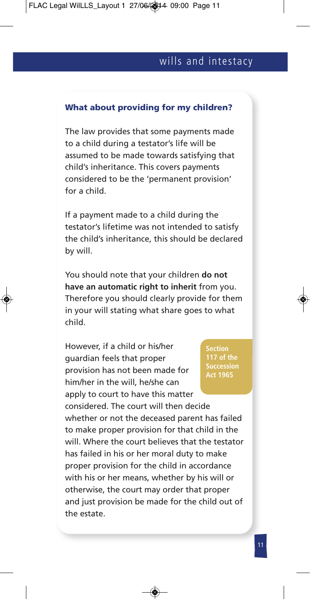#### **What about providing for my children?**

The law provides that some payments made to a child during a testator's life will be assumed to be made towards satisfying that child's inheritance. This covers payments considered to be the 'permanent provision' for a child.

If a payment made to a child during the testator's lifetime was not intended to satisfy the child's inheritance, this should be declared by will.

You should note that your children **do not have an automatic right to inherit** from you. Therefore you should clearly provide for them in your will stating what share goes to what child.

However, if a child or his/her guardian feels that proper provision has not been made for him/her in the will, he/she can apply to court to have this matter considered. The court will then decide

**Section Act 1965**

whether or not the deceased parent has failed to make proper provision for that child in the will. Where the court believes that the testator has failed in his or her moral duty to make proper provision for the child in accordance with his or her means, whether by his will or otherwise, the court may order that proper and just provision be made for the child out of the estate.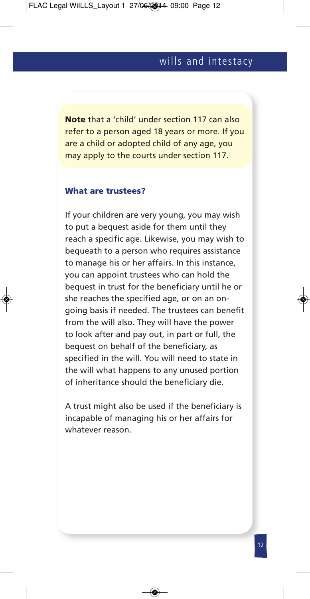**Note** that a 'child' under section 117 can also refer to a person aged 18 years or more. If you are a child or adopted child of any age, you may apply to the courts under section 117.

#### **What are trustees?**

If your children are very young, you may wish to put a bequest aside for them until they reach a specific age. Likewise, you may wish to bequeath to a person who requires assistance to manage his or her affairs. In this instance, you can appoint trustees who can hold the bequest in trust for the beneficiary until he or she reaches the specified age, or on an ongoing basis if needed. The trustees can benefit from the will also. They will have the power to look after and pay out, in part or full, the bequest on behalf of the beneficiary, as specified in the will. You will need to state in the will what happens to any unused portion of inheritance should the beneficiary die.

A trust might also be used if the beneficiary is incapable of managing his or her affairs for whatever reason.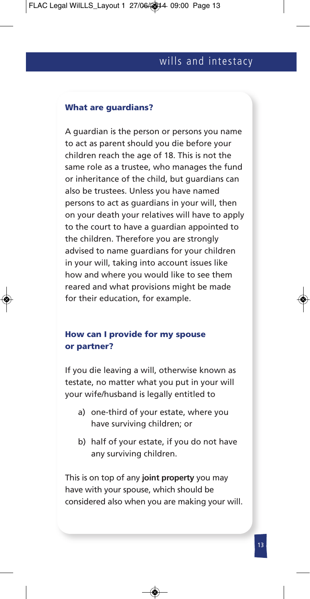#### **What are guardians?**

A guardian is the person or persons you name to act as parent should you die before your children reach the age of 18. This is not the same role as a trustee, who manages the fund or inheritance of the child, but guardians can also be trustees. Unless you have named persons to act as guardians in your will, then on your death your relatives will have to apply to the court to have a guardian appointed to the children. Therefore you are strongly advised to name guardians for your children in your will, taking into account issues like how and where you would like to see them reared and what provisions might be made for their education, for example.

#### **How can I provide for my spouse or partner?**

If you die leaving a will, otherwise known as testate, no matter what you put in your will your wife/husband is legally entitled to

- a) one-third of your estate, where you have surviving children; or
- b) half of your estate, if you do not have any surviving children.

This is on top of any **joint property** you may have with your spouse, which should be considered also when you are making your will.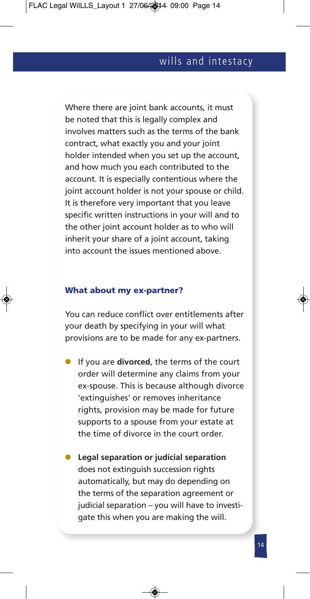Where there are joint bank accounts, it must be noted that this is legally complex and involves matters such as the terms of the bank contract, what exactly you and your joint holder intended when you set up the account, and how much you each contributed to the account. It is especially contentious where the joint account holder is not your spouse or child. It is therefore very important that you leave specific written instructions in your will and to the other joint account holder as to who will inherit your share of a joint account, taking into account the issues mentioned above.

#### **What about my ex-partner?**

You can reduce conflict over entitlements after your death by specifying in your will what provisions are to be made for any ex-partners.

- **If you are divorced**, the terms of the court order will determine any claims from your ex-spouse. This is because although divorce 'extinguishes' or removes inheritance rights, provision may be made for future supports to a spouse from your estate at the time of divorce in the court order.
- l **Legal separation or judicial separation** does not extinguish succession rights automatically, but may do depending on the terms of the separation agreement or judicial separation – you will have to investigate this when you are making the will.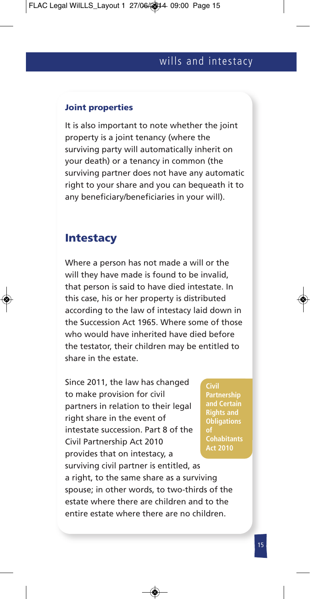#### **Joint properties**

It is also important to note whether the joint property is a joint tenancy (where the surviving party will automatically inherit on your death) or a tenancy in common (the surviving partner does not have any automatic right to your share and you can bequeath it to any beneficiary/beneficiaries in your will).

# **Intestacy**

Where a person has not made a will or the will they have made is found to be invalid, that person is said to have died intestate. In this case, his or her property is distributed according to the law of intestacy laid down in the Succession Act 1965. Where some of those who would have inherited have died before the testator, their children may be entitled to share in the estate.

Since 2011, the law has changed to make provision for civil partners in relation to their legal right share in the event of intestate succession. Part 8 of the Civil Partnership Act 2010 provides that on intestacy, a surviving civil partner is entitled, as a right, to the same share as a surviving spouse; in other words, to two-thirds of the estate where there are children and to the entire estate where there are no children. **of**

**Civil Partnership Rights and Obligations Cohabitants Act 2010**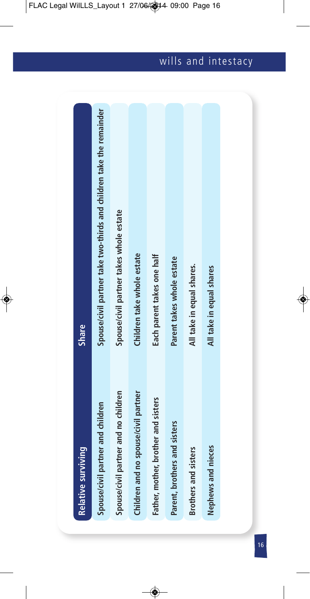| <b>Relative surviving</b>            | Share                                                                |
|--------------------------------------|----------------------------------------------------------------------|
| Spouse/civil partner and children    | Spouse/civil partner take two-thirds and children take the remainder |
| Spouse/civil partner and no children | Spouse/civil partner takes whole estate                              |
| Children and no spouse/civil partner | Children take whole estate                                           |
| Father, mother, brother and sisters  | Each parent takes one half                                           |
| Parent, brothers and sisters         | Parent takes whole estate                                            |
| <b>Brothers and sisters</b>          | All take in equal shares.                                            |
| Nephews and nieces                   | All take in equal shares                                             |
|                                      |                                                                      |
|                                      |                                                                      |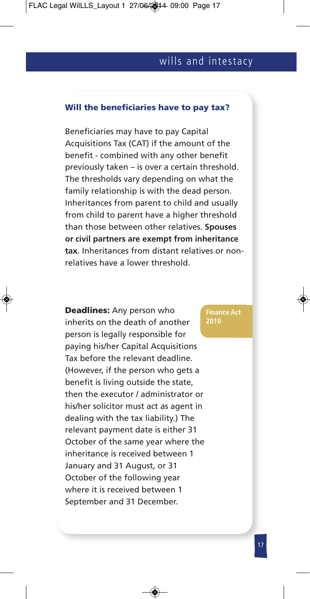#### **Will the beneficiaries have to pay tax?**

Beneficiaries may have to pay Capital Acquisitions Tax (CAT) if the amount of the benefit - combined with any other benefit previously taken – is over a certain threshold. The thresholds vary depending on what the family relationship is with the dead person. Inheritances from parent to child and usually from child to parent have a higher threshold than those between other relatives. **Spouses or civil partners are exempt from inheritance tax**. Inheritances from distant relatives or nonrelatives have a lower threshold.

**Deadlines:** Any person who inherits on the death of another person is legally responsible for paying his/her Capital Acquisitions Tax before the relevant deadline. (However, if the person who gets a benefit is living outside the state, then the executor / administrator or his/her solicitor must act as agent in dealing with the tax liability.) The relevant payment date is either 31 October of the same year where the inheritance is received between 1 January and 31 August, or 31 October of the following year where it is received between 1 September and 31 December.

#### **Finance Act 2010**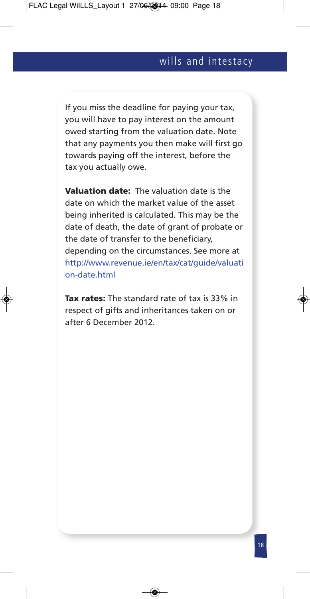If you miss the deadline for paying your tax, you will have to pay interest on the amount owed starting from the valuation date. Note that any payments you then make will first go towards paying off the interest, before the tax you actually owe.

**Valuation date:** The valuation date is the date on which the market value of the asset being inherited is calculated. This may be the date of death, the date of grant of probate or the date of transfer to the beneficiary, depending on the circumstances. See more at http://www.revenue.ie/en/tax/cat/guide/valuati on-date.html

**Tax rates:** The standard rate of tax is 33% in respect of gifts and inheritances taken on or after 6 December 2012.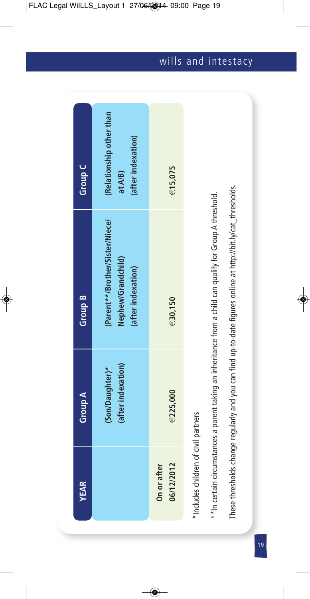| <b>YEAR</b>                          | Group A                               | Group B                                                                                                       | Group C                                                   |
|--------------------------------------|---------------------------------------|---------------------------------------------------------------------------------------------------------------|-----------------------------------------------------------|
|                                      | (after indexation)<br>(Son/Daughter)* | (Parent**/Brother/Sister/Niece/<br>Nephew/Grandchild)<br>(after indexation)                                   | (Relationship other than<br>(after indexation)<br>at A/B) |
| 06/12/2012<br>On or after            | E225,000                              | €30,150                                                                                                       | €15,075                                                   |
| *Includes children of civil partners |                                       |                                                                                                               |                                                           |
|                                      |                                       | **In certain circumstances a parent taking an inheritance from a child can qualify for Group A threshold.     |                                                           |
|                                      |                                       | These thresholds change regularly and you can find up-to-date figures online at http://bit.ly/cat_thresholds. |                                                           |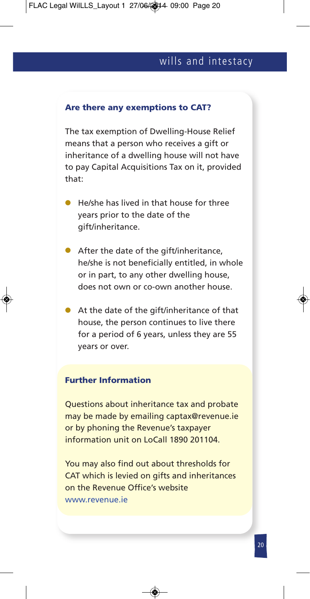#### **Are there any exemptions to CAT?**

The tax exemption of Dwelling-House Relief means that a person who receives a gift or inheritance of a dwelling house will not have to pay Capital Acquisitions Tax on it, provided that:

- $\bullet$  He/she has lived in that house for three years prior to the date of the gift/inheritance.
- $\bullet$  After the date of the gift/inheritance, he/she is not beneficially entitled, in whole or in part, to any other dwelling house, does not own or co-own another house.
- $\bullet$  At the date of the gift/inheritance of that house, the person continues to live there for a period of 6 years, unless they are 55 years or over.

#### **Further Information**

Questions about inheritance tax and probate may be made by emailing captax@revenue.ie or by phoning the Revenue's taxpayer information unit on LoCall 1890 201104.

You may also find out about thresholds for CAT which is levied on gifts and inheritances on the Revenue Office's website www.revenue.ie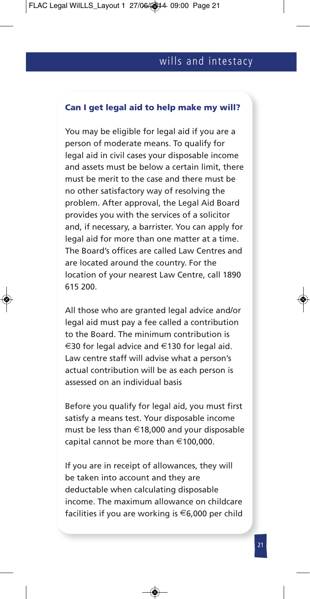#### **Can I get legal aid to help make my will?**

You may be eligible for legal aid if you are a person of moderate means. To qualify for legal aid in civil cases your disposable income and assets must be below a certain limit, there must be merit to the case and there must be no other satisfactory way of resolving the problem. After approval, the Legal Aid Board provides you with the services of a solicitor and, if necessary, a barrister. You can apply for legal aid for more than one matter at a time. The Board's offices are called Law Centres and are located around the country. For the location of your nearest Law Centre, call 1890 615 200.

All those who are granted legal advice and/or legal aid must pay a fee called a contribution to the Board. The minimum contribution is €30 for legal advice and €130 for legal aid. Law centre staff will advise what a person's actual contribution will be as each person is assessed on an individual basis

Before you qualify for legal aid, you must first satisfy a means test. Your disposable income must be less than €18,000 and your disposable capital cannot be more than €100,000.

If you are in receipt of allowances, they will be taken into account and they are deductable when calculating disposable income. The maximum allowance on childcare facilities if you are working is  $\epsilon$ 6,000 per child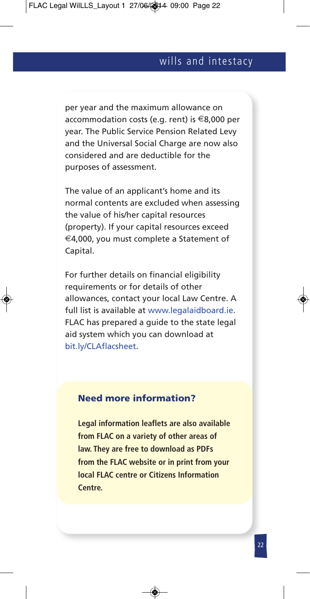per year and the maximum allowance on accommodation costs (e.g. rent) is €8,000 per year. The Public Service Pension Related Levy and the Universal Social Charge are now also considered and are deductible for the purposes of assessment.

The value of an applicant's home and its normal contents are excluded when assessing the value of his/her capital resources (property). If your capital resources exceed €4,000, you must complete a Statement of Capital.

For further details on financial eligibility requirements or for details of other allowances, contact your local Law Centre. A full list is available at www.legalaidboard.ie. FLAC has prepared a guide to the state legal aid system which you can download at bit.ly/CLAflacsheet.

### **Need more information?**

**Legal information leaflets are also available from FLAC on a variety of other areas of law. They are free to download as PDFs from the FLAC website or in print from your local FLAC centre or Citizens Information Centre.**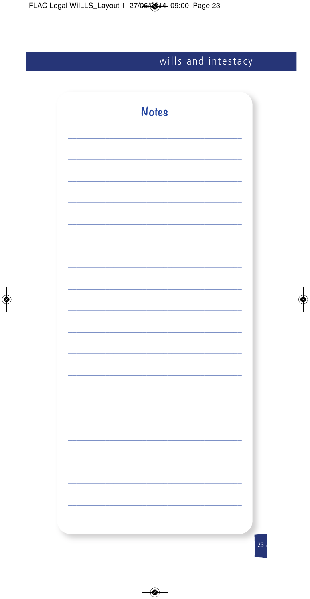| <b>Notes</b> |  |
|--------------|--|
|              |  |
|              |  |
|              |  |
|              |  |
|              |  |
|              |  |
|              |  |
|              |  |
|              |  |
|              |  |
|              |  |